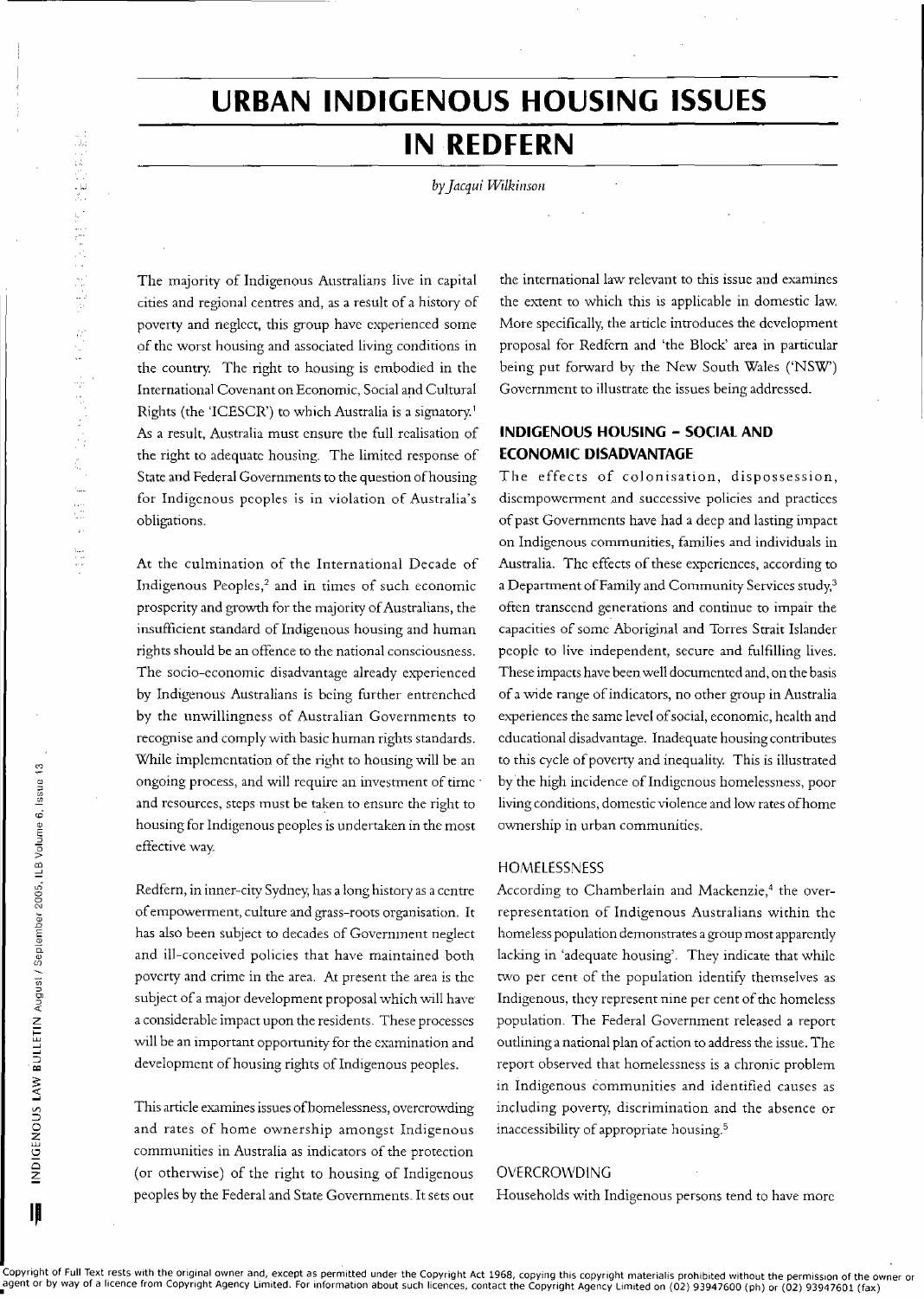# 温度检验 机安全分离子 女子生身 法人  $\begin{array}{l} 1_{\rm{max}}\\ \times\\ \times\\ \times\\ \times\\ \end{array}$

# **URBAN INDIGENOUS HOUSING ISSUES**

## **IN REDFERN**

by Jacqui Wilkinson

The majority of Indigenous Australians live in capital cities and regional centres and, as a result of a history of poverty and neglect, this group have experienced some of the worst housing and associated living conditions in the country. The right to housing is embodied in the International Covenant on Economic, Social and Cultural Rights (the 'ICESCR') to which Australia is a signatory.<sup>1</sup> As a result, Australia must ensure the full realisation of the right to adequate housing. The limited response of State and Federal Governments to the question of housing for Indigenous peoples is in violation of Australia's obligations.

At the culmination of the International Decade of Indigenous Peoples,<sup>2</sup> and in times of such economic prosperity and growth for the majority of Australians, the insufficient standard of Indigenous housing and human rights should be an offence to the national consciousness. The socio-economic disadvantage already experienced by Indigenous Australians is being further entrenched by the unwillingness of Australian Governments to recognise and comply with basic human rights standards. While implementation of the right to housing will be an ongoing process, and will require an investment of time and resources, steps must be taken to ensure the right to housing for Indigenous peoples is undertaken in the most effective way.

Redfern, in inner-city Sydney, has a long history as a centre of empowerment, culture and grass-roots organisation. It has also been subject to decades of Government neglect and ill-conceived policies that have maintained both poverty and crime in the area. At present the area is the subject of a major development proposal which will have a considerable impact upon the residents. These processes will be an important opportunity for the examination and development of housing rights of Indigenous peoples.

This article examines issues of homelessness, overcrowding and rates of home ownership amongst Indigenous communities in Australia as indicators of the protection (or otherwise) of the right to housing of Indigenous peoples by the Federal and State Governments. It sets out the international law relevant to this issue and examines the extent to which this is applicable in domestic law. More specifically, the article introduces the development proposal for Redfern and 'the Block' area in particular being put forward by the New South Wales ('NSW') Government to illustrate the issues being addressed.

### **INDIGENOUS HOUSING - SOCIAL AND ECONOMIC DISADVANTAGE**

The effects of colonisation, dispossession, disempowerment and successive policies and practices of past Governments have had a deep and lasting impact on Indigenous communities, families and individuals in Australia. The effects of these experiences, according to a Department of Family and Community Services study,<sup>3</sup> often transcend generations and continue to impair the capacities of some Aboriginal and Torres Strait Islander people to live independent, secure and fulfilling lives. These impacts have been well documented and, on the basis of a wide range of indicators, no other group in Australia experiences the same level of social, economic, health and educational disadvantage. Inadequate housing contributes to this cycle of poverty and inequality. This is illustrated by the high incidence of Indigenous homelessness, poor living conditions, domestic violence and low rates of home ownership in urban communities.

### HOMELESSNESS

According to Chamberlain and Mackenzie,<sup>4</sup> the overrepresentation of Indigenous Australians within the homeless population demonstrates a group most apparently lacking in 'adequate housing'. They indicate that while two per cent of the population identify themselves as Indigenous, they represent nine per cent of the homeless population. The Federal Government released a report outlining a national plan of action to address the issue. The report observed that homelessness is a chronic problem in Indigenous communities and identified causes as including poverty, discrimination and the absence or inaccessibility of appropriate housing.<sup>5</sup>

### OVERCROWDING

Households with Indigenous persons tend to have more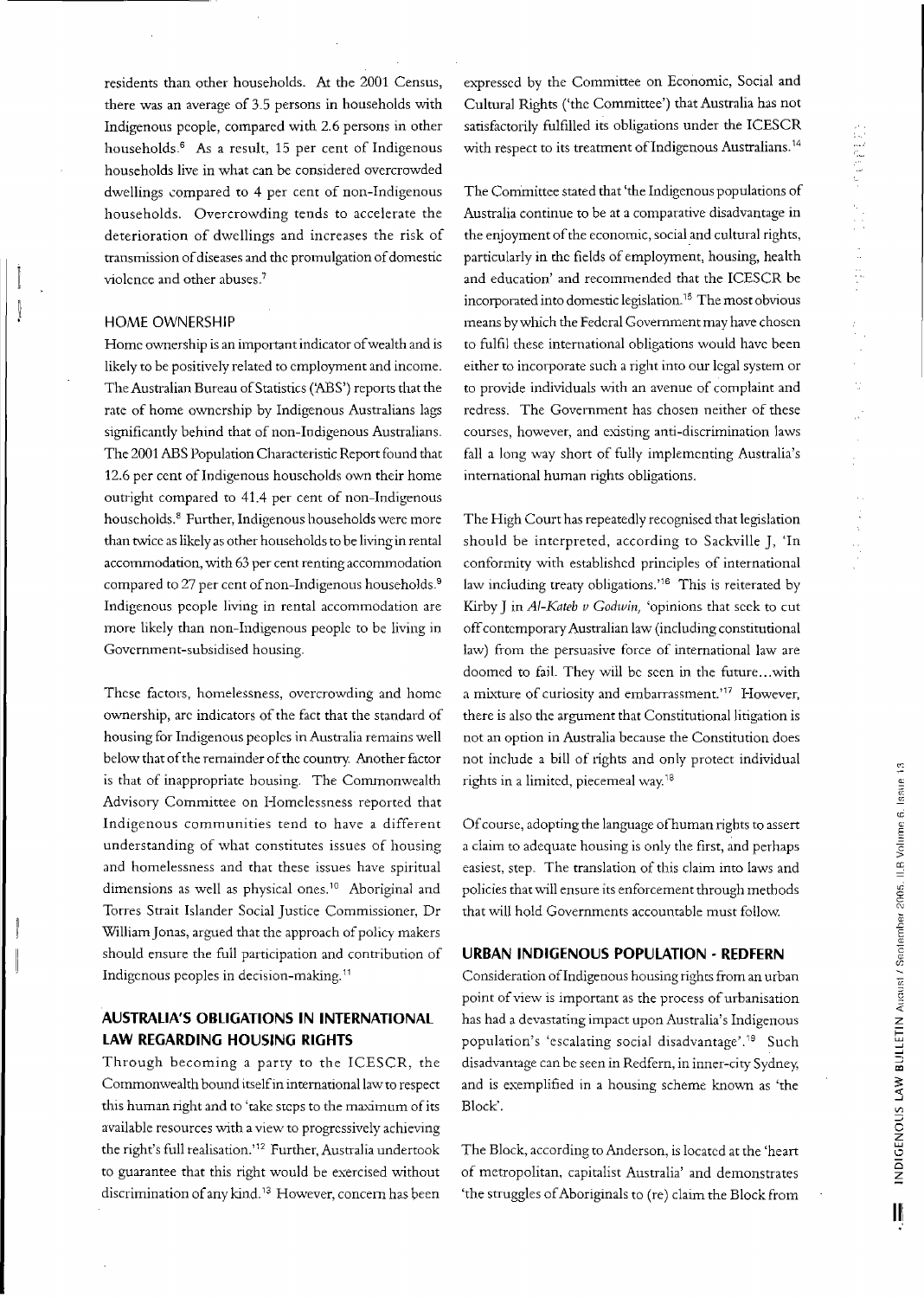residents than other households. At the 2001 Census, there was an average of 3-5 persons in households with Indigenous people, compared with 2.6 persons in other households.<sup>6</sup> As a result, 15 per cent of Indigenous households live in what can be considered overcrowded dwellings compared to 4 per cent of non-Indigenous households. Overcrowding tends to accelerate the deterioration of dwellings and increases the risk of transmission of diseases and the promulgation of domestic violence and other abuses.<sup>7</sup>

### HOME OWNERSHIP

Home ownership is an important indicator of wealth and is likely to be positively related to employment and income. The Australian Bureau of Statistics ('ABS') reports that the rate of home ownership by Indigenous Australians lags significantly behind that of non-Indigenous Australians. The 2001 ABS Population Characteristic Report found that 12.6 per cent of Indigenous households own their home outright compared to 41.4 per cent of non-Indigenous households. <sup>8</sup> Further, Indigenous households were more than twice as likely as other households to be living in rental accommodation, with 63 per cent renting accommodation compared to 27 per cent of non-Indigenous households.<sup>9</sup> Indigenous people living in rental accommodation are more likely than non-Indigenous people to be living in Government-subsidised housing.

These factors, homelessness, overcrowding and home ownership, are indicators of the fact that the standard of housing for Indigenous peoples in Australia remains well below that of the remainder of the country. Another factor is that of inappropriate housing. The Commonwealth Advisory Committee on Homelessness reported that Indigenous communities tend to have a different understanding of what constitutes issues of housing and homelessness and that these issues have spiritual dimensions as well as physical ones.<sup>10</sup> Aboriginal and Torres Strait Islander Social Justice Commissioner, Dr William Jonas, argued that the approach of policy makers should ensure the full participation and contribution of Indigenous peoples in decision-making."

### **AUSTRALIA'S OBLIGATIONS IN INTERNATIONAL LAW REGARDING HOUSING RIGHTS**

Through becoming a party to the ICESCR, the Commonwealth bound itselfin international law to respect this human right and to 'take steps to the maximum of its available resources with a view to progressively achieving the right's full tealisation."2 Further, Australia undertook to guarantee that this right would be exercised without discrimination of any kind.<sup>13</sup> However, concern has been

expressed by the Committee on Economic, Social and Cultural Rights ('the Committee') that Australia has not satisfactorily fulfilled its obligations under the ICESCR with respect to its treatment of Indigenous Australians.<sup>14</sup>

The Committee stated that 'the Indigenous populations of Australia continue to be at a comparative disadvantage in the enjoyment of the economic, social and cultural rights, particularly in the fields of employment, housing, health and education' and recommended that the ICESCR be incorporated into domestic legislation.'5 The most obvious means bywhich the Federal Government may have chosen to fulfil these international obligations would have been either to incorporate such a right into our legal system or to provide individuals with an avenue of complaint and redress. The Government has chosen neither of these courses, however, and existing anti-discrimination laws fall a long way short of fully implementing Australia's international human rights obligations.

The High Court has repeatedly recognised that legislation should be interpreted, according to Sackville J, 'In conformity with established principles of international law including treaty obligations.<sup>'16</sup> This is reiterated by Kirby J in *AI-Kateb v Godwin*, 'opinions that seek to cut off contemporary Australian law (including constitutional law) from the persuasive force of international law are doomed to fail. They will be seen in the future...with a mixture of curiosity and embarrassment.'<sup>17</sup> However, there is also the argument that Constitutional litigation is not an option in Australia because the Constitution does not include a bill of rights and only protect individual rights in a limited, piecemeal way.<sup>18</sup>

Ofcourse, adopting the language ofhuman rights to assert a claim to adequate housing is only the first, and perhaps easiest, step. The translation of this claim into laws and policies that will ensure its enforcement through methods that will hold Governments accountable rnust follow.

### **URBAN INDIGENOUS POPULATION· REDFERN**

Consideration ofIndigenous housing righcs from an urban point of view is important as the process of urbanisation has had a devastating impact upon Australia's Indigenous population's 'escalaring social disadvantage' .'9 Such disadvantage can be seen in Redfem, in inner-city Sydney, and is exemplified in a housing scheme known as 'the Block'.

The Block, according to Anderson, is located at the 'heart of metropolitan, capitalist Australia' and demonstrates 'the struggles of Aboriginals to (re) claim the Block from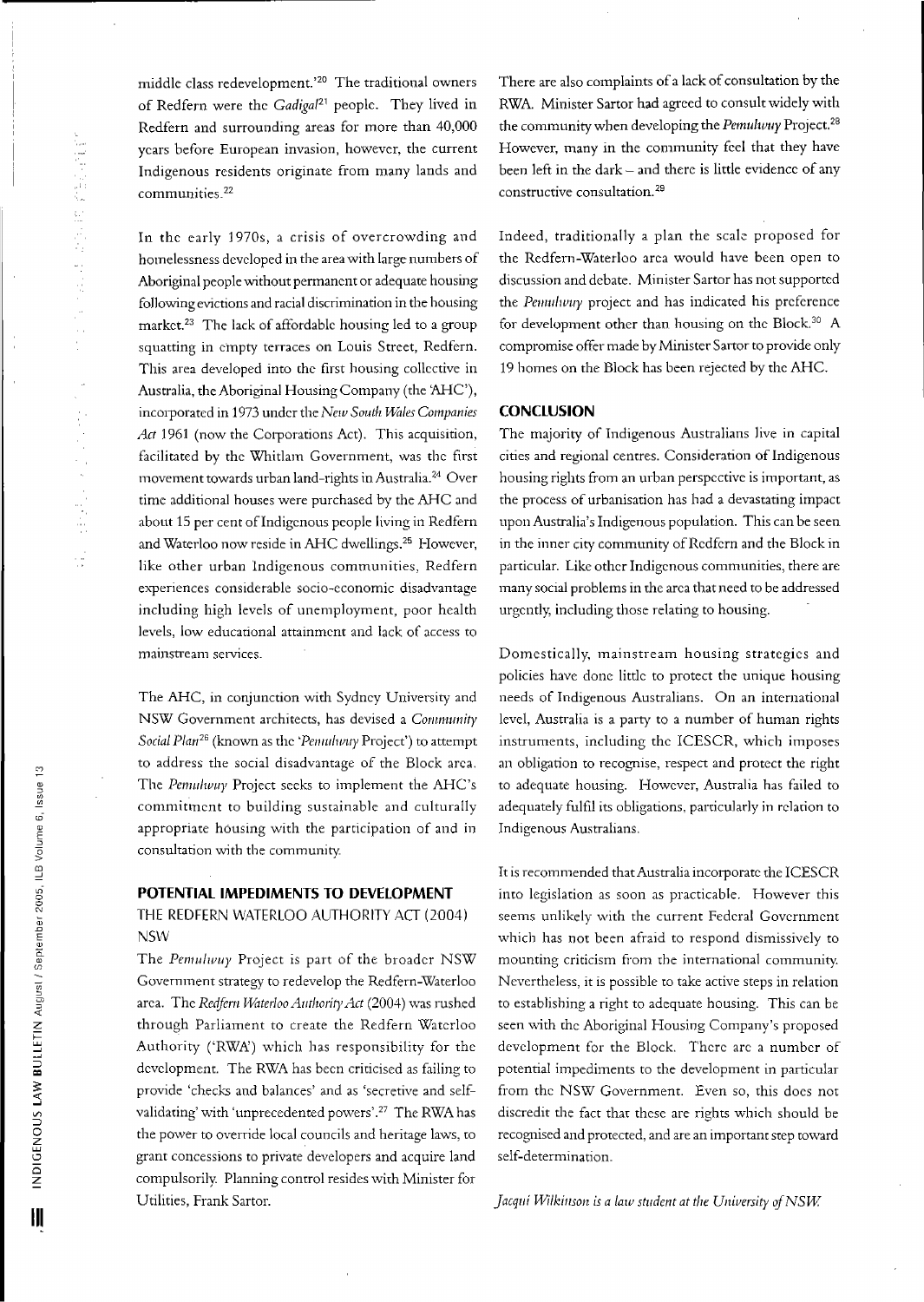middle class redeve!opment.'2o The traditional owners of Redfem were the *Gadigal*<sup>21</sup> people. They lived in Redfern and surrounding areas for more than 40,000 years before European invasion, however, the current Indigenous residents originate from many lands and communities.<sup>22</sup>

In the early 1970s, a crisis of overcrowding and homelessness developed in the area with large numbers of Aboriginal people without permanent or adequate housing following evictions and racial discrimination in the housing market. <sup>23</sup> The lack of affordable housing led to a group squatting in empty terraces on Louis Street, Redfern. This area developed into the first housing collective in Australia, the Aboriginal HousingCompany (the 'AHC), incorporated in 1973 under the *New South f.-Villes Companies* Act 1961 (now the Corporations Act). This acquisition, facilitated by the Whitlam Government, was the first movement towards urban land-rights in Australia.<sup>24</sup> Over time additional houses were purchased by the AHC and about 15 per cent of Indigenous people living in Redfern and Waterloo now reside in AHC dwellings. <sup>25</sup> However, like other urban Indigenous communities, Redfern experiences considerable socio-economic disadvantage including high levels of unemployment, poor health levels, low educational attainment and lack of access to mainstream services\_

The AHC, in conjunction with Sydney University and NSW Government architects, has devised a *Community Social Plan<sup>26</sup>* (known as the *'Penulivuy* Project') to attempt to address the social disadvantage of the Block area. The *Pemulwuy* Project seeks to implement the AHC's commitment to building sustainable and culturally appropriate housing with the participation of and in consultation with the community\_

### **POTENTIAL IMPEDIMENTS TO DEVELOPMENT**

THE REDFERN WATERLOO AUTHORITY ACT (2004) NSW

The *Pemulwuy* Project is part of the broader NSW Government strategy to redevelop the Redfem-Waterloo area. The *Redfern Waterloo Authority Act* (2004) was rushed through Parliarnent to create the Redfern Waterloo Authority ('RWA') which has responsibility for the development. The RWA has been criticised as failing to provide 'checks and balances' and as 'secretive and selfvalidating' with 'unprecedented powers'.27 The RWA has the power to override local councils and heritage laws, to grant concessions to private developers and acquire land compulsorily. Planning control resides with Minister for Utilities, Frank 5artor.

There are also complaints of a lack of consultation by the RWA. Minister Sartor had agreed to consult widely with the community when developing the *Pemulumy* Project.<sup>28</sup> However, many in the community feel that they have been left in the dark - and there is little evidence of any constructive consultation.<sup>29</sup>

Indeed, traditionally a plan the scale proposed for the Redfem-Waterloo area would have been open to discussion and debate. Minister Sartor has not supported the *Penulivuy* project and has indicated his preference for development other than housing on the Block.<sup>30</sup> A compromise offer made by Minister 5artor to provide only 19 homes on the Block has been rejected by the AHC.

### **CONCLUSION**

The majority of Indigenous Australians live in capital cities and regional centres. Consideration of Indigenous housing rights from an urban perspective is important, as the process of urbanisation has had a devastating impact upon Australia's Indigenous population. This can be seen in the inner city community of Redfern and the Block in particular. Like other Indigenous communities, there are many social problems in the area that need to be addressed urgently, including those relating to housing.

Domestically, mainstream housing strategies and policies have done little to protect the unique housing needs of Indigenous Australians. On an international level, Australia is a party to a number of human rights instruments, including the ICESCR, which imposes an obligation to recognise, respect and protect the right to adequate housing. However, Australia has failed to adequately fulfil its obligations, particularly in relation to Indigenous Australians.

It is recommended that Australia incorporate the ICESCR into legislation as soon as practicable. However this seems unlikely with the current Federal Government which has not been afraid to respond dismissively to mounting criticism from the international community. Nevertheless, it is possible to take active steps in relarion to establishing a right to adequate housing. This can be seen with the Aboriginal Housing Company's proposed development for the Block. There arc a number of potential impediments to the development in particular from the NSW Government. Even so, this does not discredit the fact that these are rights which should be recognised and protected, and are an important step toward self-determination\_

*jacqlli Wilkillson is <sup>a</sup> law student at the Unillwity* if*NSW*